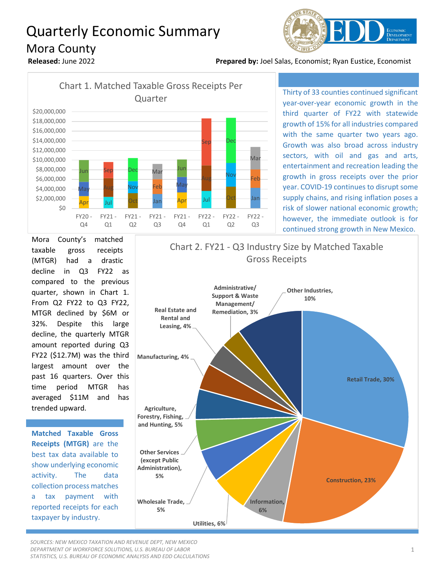## Quarterly Economic Summary Mora County



**Released:** June 2022 **Prepared by:** Joel Salas, Economist; Ryan Eustice, Economist



Thirty of 33 counties continued significant year-over-year economic growth in the third quarter of FY22 with statewide growth of 15% for all industries compared with the same quarter two years ago. Growth was also broad across industry sectors, with oil and gas and arts, entertainment and recreation leading the growth in gross receipts over the prior year. COVID-19 continues to disrupt some supply chains, and rising inflation poses a risk of slower national economic growth; however, the immediate outlook is for continued strong growth in New Mexico.

Mora County's matched taxable gross receipts (MTGR) had a drastic decline in Q3 FY22 as compared to the previous quarter, shown in Chart 1. From Q2 FY22 to Q3 FY22, MTGR declined by \$6M or 32%. Despite this large decline, the quarterly MTGR amount reported during Q3 FY22 (\$12.7M) was the third largest amount over the past 16 quarters. Over this time period MTGR has averaged \$11M and has trended upward.

**Matched Taxable Gross Receipts (MTGR)** are the best tax data available to show underlying economic activity. The data collection process matches a tax payment with reported receipts for each taxpayer by industry.



*SOURCES: NEW MEXICO TAXATION AND REVENUE DEPT, NEW MEXICO DEPARTMENT OF WORKFORCE SOLUTIONS, U.S. BUREAU OF LABOR STATISTICS, U.S. BUREAU OF ECONOMIC ANALYSIS AND EDD CALCULATIONS*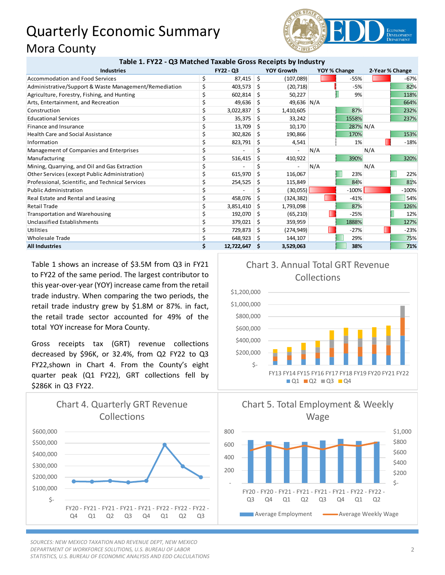## Quarterly Economic Summary Mora County



| Table 1. FY22 - Q3 Matched Taxable Gross Receipts by Industry |           |            |    |                   |              |          |                 |         |
|---------------------------------------------------------------|-----------|------------|----|-------------------|--------------|----------|-----------------|---------|
| <b>Industries</b>                                             | FY22 - Q3 |            |    | <b>YOY Growth</b> | YOY % Change |          | 2-Year % Change |         |
| Accommodation and Food Services                               | \$        | 87,415     | \$ | (107,089)         |              | $-55%$   |                 | $-67%$  |
| Administrative/Support & Waste Management/Remediation         | \$        | 403,573    | Ŝ  | (20, 718)         |              | $-5%$    |                 | 82%     |
| Agriculture, Forestry, Fishing, and Hunting                   |           | 602,814    | S  | 50,227            |              | 9%       |                 | 118%    |
| Arts, Entertainment, and Recreation                           |           | 49,636     | S  | 49,636 N/A        |              |          |                 | 664%    |
| Construction                                                  |           | 3,022,837  | S. | 1,410,605         |              | 87%      |                 | 232%    |
| <b>Educational Services</b>                                   |           | 35,375     | Ŝ  | 33,242            |              | 1558%    |                 | 237%    |
| Finance and Insurance                                         |           | 13,709     | S  | 10,170            |              | 287% N/A |                 |         |
| <b>Health Care and Social Assistance</b>                      |           | 302,826    | S  | 190,866           |              | 170%     |                 | 153%    |
| Information                                                   |           | 823,791    | S  | 4,541             |              | 1%       |                 | $-18%$  |
| Management of Companies and Enterprises                       |           |            |    |                   | N/A          |          | N/A             |         |
| Manufacturing                                                 | \$        | 516,415    | Ś. | 410,922           |              | 390%     |                 | 320%    |
| Mining, Quarrying, and Oil and Gas Extraction                 | \$        |            |    |                   | N/A          |          | N/A             |         |
| Other Services (except Public Administration)                 |           | 615,970    | Ŝ. | 116,067           |              | 23%      |                 | 22%     |
| Professional, Scientific, and Technical Services              |           | 254,525    |    | 115,849           |              | 84%      |                 | 81%     |
| <b>Public Administration</b>                                  |           |            |    | (30,055)          |              | $-100%$  |                 | $-100%$ |
| Real Estate and Rental and Leasing                            |           | 458,076    | \$ | (324, 382)        |              | $-41%$   |                 | 54%     |
| <b>Retail Trade</b>                                           | Ś         | 3,851,410  | Ŝ  | 1,793,098         |              | 87%      |                 | 126%    |
| <b>Transportation and Warehousing</b>                         | Ś         | 192,070    | S  | (65, 210)         |              | $-25%$   |                 | 12%     |
| Unclassified Establishments                                   |           | 379,021    | S. | 359,959           |              | 1888%    |                 | 127%    |
| Utilities                                                     | \$        | 729,873    | Ŝ  | (274, 949)        |              | $-27%$   |                 | $-23%$  |
| <b>Wholesale Trade</b>                                        | \$        | 648,923    | -S | 144,107           |              | 29%      |                 | 75%     |
| <b>All Industries</b>                                         | Ś.        | 12,722,647 | .s | 3,529,063         |              | 38%      |                 | 71%     |

Table 1 shows an increase of \$3.5M from Q3 in FY21 to FY22 of the same period. The largest contributor to this year-over-year (YOY) increase came from the retail trade industry. When comparing the two periods, the retail trade industry grew by \$1.8M or 87%. in fact, the retail trade sector accounted for 49% of the total YOY increase for Mora County.

Gross receipts tax (GRT) revenue collections decreased by \$96K, or 32.4%, from Q2 FY22 to Q3 FY22,shown in Chart 4. From the County's eight quarter peak (Q1 FY22), GRT collections fell by \$286K in Q3 FY22.



*SOURCES: NEW MEXICO TAXATION AND REVENUE DEPT, NEW MEXICO DEPARTMENT OF WORKFORCE SOLUTIONS, U.S. BUREAU OF LABOR STATISTICS, U.S. BUREAU OF ECONOMIC ANALYSIS AND EDD CALCULATIONS*